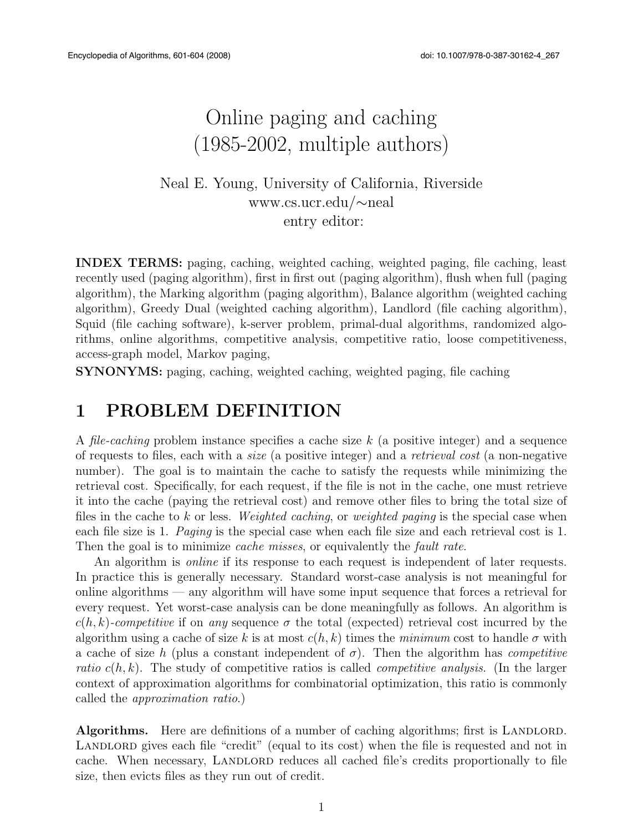# Online paging and caching (1985-2002, multiple authors)

#### Neal E. Young, University of California, Riverside www.cs.ucr.edu/ $\sim$ neal entry editor:

INDEX TERMS: paging, caching, weighted caching, weighted paging, file caching, least recently used (paging algorithm), first in first out (paging algorithm), flush when full (paging algorithm), the Marking algorithm (paging algorithm), Balance algorithm (weighted caching algorithm), Greedy Dual (weighted caching algorithm), Landlord (file caching algorithm), Squid (file caching software), k-server problem, primal-dual algorithms, randomized algorithms, online algorithms, competitive analysis, competitive ratio, loose competitiveness, access-graph model, Markov paging,

SYNONYMS: paging, caching, weighted caching, weighted paging, file caching

#### 1 PROBLEM DEFINITION

A *file-caching* problem instance specifies a cache size *k* (a positive integer) and a sequence of requests to files, each with a *size* (a positive integer) and a *retrieval cost* (a non-negative number). The goal is to maintain the cache to satisfy the requests while minimizing the retrieval cost. Specifically, for each request, if the file is not in the cache, one must retrieve it into the cache (paying the retrieval cost) and remove other files to bring the total size of files in the cache to *k* or less. *Weighted caching*, or *weighted paging* is the special case when each file size is 1. *Paging* is the special case when each file size and each retrieval cost is 1. Then the goal is to minimize *cache misses*, or equivalently the *fault rate*.

An algorithm is *online* if its response to each request is independent of later requests. In practice this is generally necessary. Standard worst-case analysis is not meaningful for online algorithms — any algorithm will have some input sequence that forces a retrieval for every request. Yet worst-case analysis can be done meaningfully as follows. An algorithm is  $c(h, k)$ -competitive if on *any* sequence  $\sigma$  the total (expected) retrieval cost incurred by the algorithm using a cache of size k is at most  $c(h, k)$  times the *minimum* cost to handle  $\sigma$  with a cache of size *h* (plus a constant independent of  $\sigma$ ). Then the algorithm has *competitive ratio*  $c(h, k)$ . The study of competitive ratios is called *competitive analysis*. (In the larger context of approximation algorithms for combinatorial optimization, this ratio is commonly called the *approximation ratio*.)

Algorithms. Here are definitions of a number of caching algorithms; first is LANDLORD. LANDLORD gives each file "credit" (equal to its cost) when the file is requested and not in cache. When necessary, LANDLORD reduces all cached file's credits proportionally to file size, then evicts files as they run out of credit.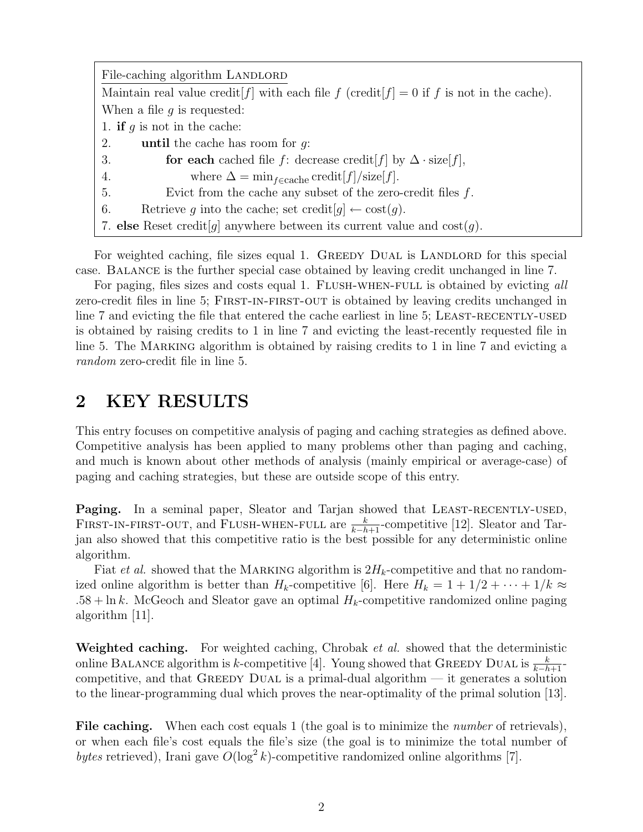| File-caching algorithm LANDLORD                                                                |
|------------------------------------------------------------------------------------------------|
| Maintain real value credit $[f]$ with each file f (credit $[f] = 0$ if f is not in the cache). |
| When a file $q$ is requested:                                                                  |
| 1. if q is not in the cache:                                                                   |
| <b>until</b> the cache has room for $q$ .<br>2.                                                |
| for each cached file f: decrease credit [f] by $\Delta \cdot size[f]$ ,<br>3.                  |
| where $\Delta = \min_{f \in \text{cache}} \text{credit}[f] / \text{size}[f].$<br>4.            |
| Evict from the cache any subset of the zero-credit files $f$ .<br>5.                           |
| Retrieve q into the cache; set credit $[g] \leftarrow \text{cost}(g)$ .<br>6.                  |
| 7. else Reset credit [g] anywhere between its current value and $\cos(t)$ .                    |

For weighted caching, file sizes equal 1. GREEDY DUAL is LANDLORD for this special case. Balance is the further special case obtained by leaving credit unchanged in line 7.

For paging, files sizes and costs equal 1. FLUSH-WHEN-FULL is obtained by evicting all zero-credit files in line 5; First-in-first-out is obtained by leaving credits unchanged in line 7 and evicting the file that entered the cache earliest in line 5; LEAST-RECENTLY-USED is obtained by raising credits to 1 in line 7 and evicting the least-recently requested file in line 5. The MARKING algorithm is obtained by raising credits to 1 in line 7 and evicting a *random* zero-credit file in line 5.

#### 2 KEY RESULTS

This entry focuses on competitive analysis of paging and caching strategies as defined above. Competitive analysis has been applied to many problems other than paging and caching, and much is known about other methods of analysis (mainly empirical or average-case) of paging and caching strategies, but these are outside scope of this entry.

Paging. In a seminal paper, Sleator and Tarjan showed that LEAST-RECENTLY-USED, FIRST-IN-FIRST-OUT, and FLUSH-WHEN-FULL are  $\frac{k}{k-h+1}$ -competitive [12]. Sleator and Tarjan also showed that this competitive ratio is the best possible for any deterministic online algorithm.

Fiat *et al.* showed that the MARKING algorithm is  $2H_k$ -competitive and that no randomized online algorithm is better than  $H_k$ -competitive [6]. Here  $H_k = 1 + 1/2 + \cdots + 1/k \approx$  $.58 + \ln k$ . McGeoch and Sleator gave an optimal  $H_k$ -competitive randomized online paging algorithm [11].

Weighted caching. For weighted caching, Chrobak *et al.* showed that the deterministic online BALANCE algorithm is *k*-competitive [4]. Young showed that GREEDY DUAL is  $\frac{k}{k-h+1}$ competitive, and that GREEDY DUAL is a primal-dual algorithm  $-$  it generates a solution to the linear-programming dual which proves the near-optimality of the primal solution [13].

File caching. When each cost equals 1 (the goal is to minimize the *number* of retrievals), or when each file's cost equals the file's size (the goal is to minimize the total number of *bytes* retrieved), Irani gave  $O(\log^2 k)$ -competitive randomized online algorithms [7].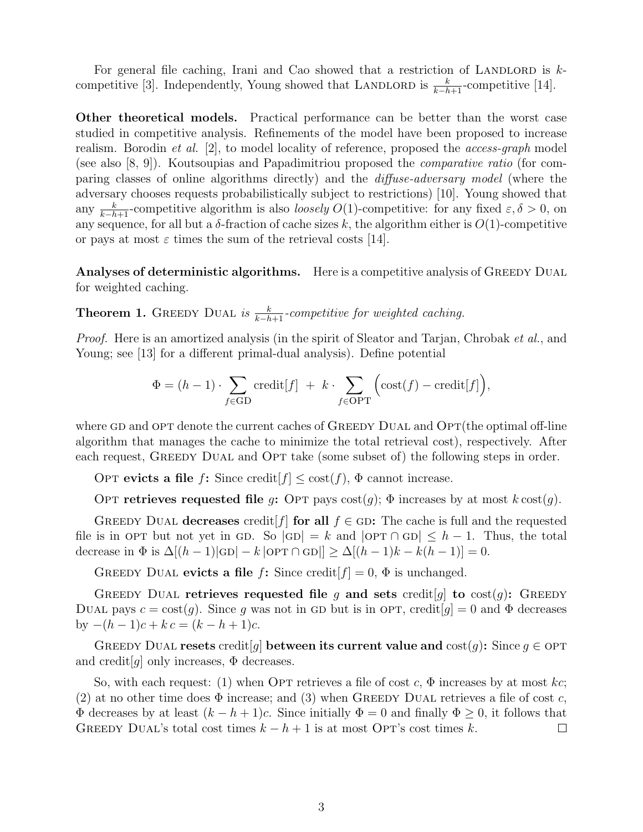For general file caching, Irani and Cao showed that a restriction of LANDLORD is  $k$ competitive [3]. Independently, Young showed that LANDLORD is  $\frac{k}{k-h+1}$ -competitive [14].

Other theoretical models. Practical performance can be better than the worst case studied in competitive analysis. Refinements of the model have been proposed to increase realism. Borodin *et al.* [2], to model locality of reference, proposed the *access-graph* model (see also [8, 9]). Koutsoupias and Papadimitriou proposed the *comparative ratio* (for comparing classes of online algorithms directly) and the *diffuse-adversary model* (where the adversary chooses requests probabilistically subject to restrictions) [10]. Young showed that any  $\frac{k}{k-h+1}$ -competitive algorithm is also *loosely*  $O(1)$ -competitive: for any fixed  $\varepsilon, \delta > 0$ , on any sequence, for all but a  $\delta$ -fraction of cache sizes k, the algorithm either is  $O(1)$ -competitive or pays at most  $\varepsilon$  times the sum of the retrieval costs [14].

Analyses of deterministic algorithms. Here is a competitive analysis of GREEDY DUAL for weighted caching.

**Theorem 1.** GREEDY DUAL is  $\frac{k}{k-h+1}$ -competitive for weighted caching.

*Proof.* Here is an amortized analysis (in the spirit of Sleator and Tarjan, Chrobak *et al.*, and Young; see [13] for a different primal-dual analysis). Define potential

$$
\Phi = (h-1) \cdot \sum_{f \in \text{GD}} \text{credit}[f] + k \cdot \sum_{f \in \text{OPT}} \Big( \text{cost}(f) - \text{credit}[f] \Big),
$$

where GD and OPT denote the current caches of GREEDY DUAL and  $\text{OPT}$  (the optimal off-line algorithm that manages the cache to minimize the total retrieval cost), respectively. After each request, GREEDY DUAL and OPT take (some subset of) the following steps in order.

OPT evicts a file *f*: Since credit  $f \leq \text{cost}(f)$ ,  $\Phi$  cannot increase.

OPT retrieves requested file *g*: OPT pays  $cost(q)$ ;  $\Phi$  increases by at most  $k \text{ cost}(q)$ .

GREEDY DUAL decreases credit  $f$  for all  $f \in$  GD: The cache is full and the requested file is in OPT but not yet in GD. So  $|GD| = k$  and  $|OPT \cap GD| \leq h - 1$ . Thus, the total decrease in  $\Phi$  is  $\Delta[(h - 1)|GD| - k |OPT \cap GD|] \ge \Delta[(h - 1)k - k(h - 1)] = 0.$ 

GREEDY DUAL evicts a file  $f$ : Since credit  $[f] = 0$ ,  $\Phi$  is unchanged.

GREEDY DUAL retrieves requested file g and sets credit g to cost(g): GREEDY DUAL pays  $c = \text{cost}(g)$ . Since g was not in GD but is in OPT, credit  $[g] = 0$  and  $\Phi$  decreases by  $-(h-1)c + k c = (k - h + 1)c$ .

GREEDY DUAL resets credit  $[g]$  between its current value and  $cost(g)$ : Since  $g \in OPT$ and credit  $[q]$  only increases,  $\Phi$  decreases.

So, with each request: (1) when OPT retrieves a file of cost  $c, \Phi$  increases by at most  $kc$ ; (2) at no other time does  $\Phi$  increase; and (3) when GREEDY DUAL retrieves a file of cost *c*,  $\Phi$  decreases by at least  $(k - h + 1)c$ . Since initially  $\Phi = 0$  and finally  $\Phi \ge 0$ , it follows that GREEDY DUAL's total cost times  $k - h + 1$  is at most OPT's cost times  $k$ . GREEDY DUAL's total cost times  $k - h + 1$  is at most OPT's cost times k.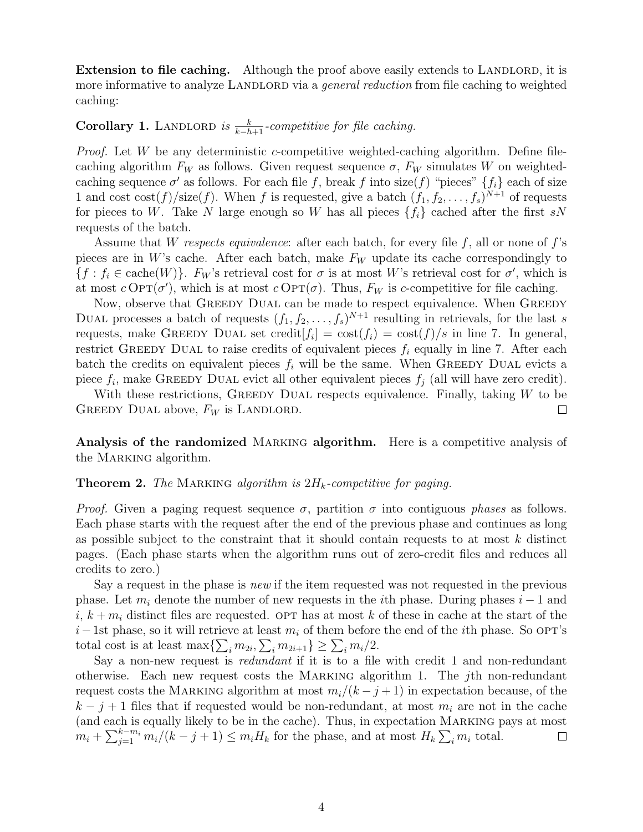**Extension to file caching.** Although the proof above easily extends to LANDLORD, it is more informative to analyze LANDLORD via a *general reduction* from file caching to weighted caching:

## **Corollary 1.** LANDLORD *is*  $\frac{k}{k-h+1}$ *-competitive for file caching.*

*Proof.* Let *W* be any deterministic *c*-competitive weighted-caching algorithm. Define filecaching algorithm  $F_W$  as follows. Given request sequence  $\sigma$ ,  $F_W$  simulates *W* on weightedcaching sequence  $\sigma'$  as follows. For each file f, break f into size(f) "pieces"  $\{f_i\}$  each of size 1 and cost  $\cos(f)/\text{size}(f)$ . When *f* is requested, give a batch  $(f_1, f_2, \ldots, f_s)^{N+1}$  of requests for pieces to *W*. Take *N* large enough so *W* has all pieces  $\{f_i\}$  cached after the first *sN* requests of the batch.

Assume that *W respects equivalence*: after each batch, for every file *f*, all or none of *f*'s pieces are in *W*'s cache. After each batch, make  $F_W$  update its cache correspondingly to  ${f : f_i \in \text{cache}(W)}$ . *F<sub>W</sub>*'s retrieval cost for  $\sigma$  is at most *W*'s retrieval cost for  $\sigma'$ , which is at most  $c$  OPT( $\sigma'$ ), which is at most  $c$  OPT( $\sigma$ ). Thus,  $F_W$  is *c*-competitive for file caching.

Now, observe that GREEDY DUAL can be made to respect equivalence. When GREEDY DUAL processes a batch of requests  $(f_1, f_2, \ldots, f_s)^{N+1}$  resulting in retrievals, for the last *s* requests, make GREEDY DUAL set credit  $[f_i] = \cos(t f_i) = \cos(t f)/s$  in line 7. In general, restrict GREEDY DUAL to raise credits of equivalent pieces  $f_i$  equally in line 7. After each batch the credits on equivalent pieces  $f_i$  will be the same. When GREEDY DUAL evicts a piece  $f_i$ , make GREEDY DUAL evict all other equivalent pieces  $f_j$  (all will have zero credit).

With these restrictions, GREEDY DUAL respects equivalence. Finally, taking *W* to be GREEDY DUAL above,  $F_W$  is LANDLORD.  $\Box$ 

Analysis of the randomized MARKING algorithm. Here is a competitive analysis of the MARKING algorithm.

#### Theorem 2. *The* Marking *algorithm is* 2*Hk-competitive for paging.*

*Proof.* Given a paging request sequence  $\sigma$ , partition  $\sigma$  into contiguous *phases* as follows. Each phase starts with the request after the end of the previous phase and continues as long as possible subject to the constraint that it should contain requests to at most *k* distinct pages. (Each phase starts when the algorithm runs out of zero-credit files and reduces all credits to zero.)

Say a request in the phase is *new* if the item requested was not requested in the previous phase. Let  $m_i$  denote the number of new requests in the *i*th phase. During phases  $i-1$  and  $i, k+m_i$  distinct files are requested. OPT has at most k of these in cache at the start of the  $i-1$ st phase, so it will retrieve at least  $m_i$  of them before the end of the *i*th phase. So OPT's total cost is at least  $\max{\sum_{i} m_{2i}, \sum_{i} m_{2i+1}} \ge \sum_{i} m_i/2$ .

Say a non-new request is *redundant* if it is to a file with credit 1 and non-redundant otherwise. Each new request costs the Marking algorithm 1. The *j*th non-redundant request costs the MARKING algorithm at most  $m_i/(k-j+1)$  in expectation because, of the  $k - j + 1$  files that if requested would be non-redundant, at most  $m_i$  are not in the cache (and each is equally likely to be in the cache). Thus, in expectation Marking pays at most  $m_i + \sum_{j=1}^{k-m_i} m_i/(k-j+1) \le m_i H_k$  for the phase, and at most  $H_k \sum_i m_i$  total.  $\Box$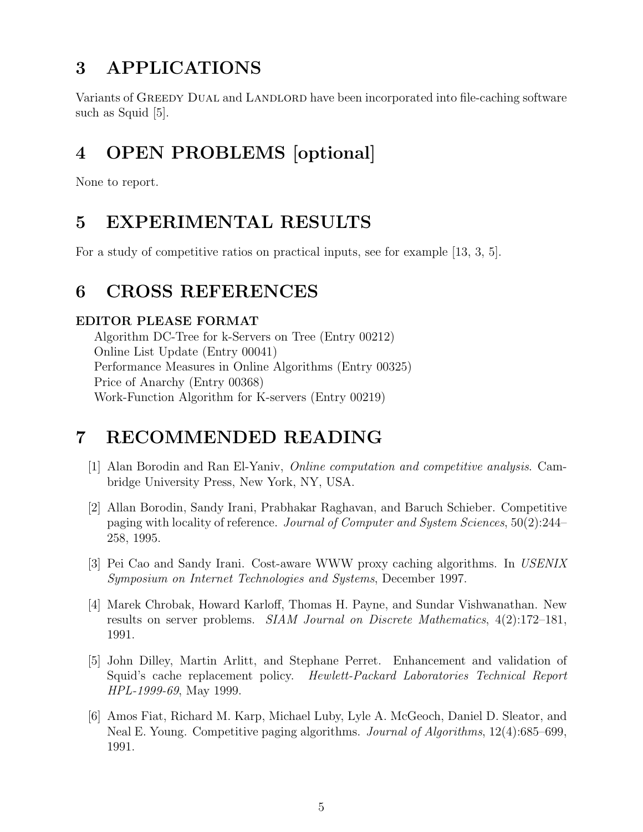## 3 APPLICATIONS

Variants of GREEDY DUAL and LANDLORD have been incorporated into file-caching software such as Squid [5].

# 4 OPEN PROBLEMS [optional]

None to report.

## 5 EXPERIMENTAL RESULTS

For a study of competitive ratios on practical inputs, see for example [13, 3, 5].

## 6 CROSS REFERENCES

#### EDITOR PLEASE FORMAT

Algorithm DC-Tree for k-Servers on Tree (Entry 00212) Online List Update (Entry 00041) Performance Measures in Online Algorithms (Entry 00325) Price of Anarchy (Entry 00368) Work-Function Algorithm for K-servers (Entry 00219)

## 7 RECOMMENDED READING

- [1] Alan Borodin and Ran El-Yaniv, *Online computation and competitive analysis*. Cambridge University Press, New York, NY, USA.
- [2] Allan Borodin, Sandy Irani, Prabhakar Raghavan, and Baruch Schieber. Competitive paging with locality of reference. *Journal of Computer and System Sciences*, 50(2):244– 258, 1995.
- [3] Pei Cao and Sandy Irani. Cost-aware WWW proxy caching algorithms. In *USENIX Symposium on Internet Technologies and Systems*, December 1997.
- [4] Marek Chrobak, Howard Karloff, Thomas H. Payne, and Sundar Vishwanathan. New results on server problems. *SIAM Journal on Discrete Mathematics*, 4(2):172–181, 1991.
- [5] John Dilley, Martin Arlitt, and Stephane Perret. Enhancement and validation of Squid's cache replacement policy. *Hewlett-Packard Laboratories Technical Report HPL-1999-69*, May 1999.
- [6] Amos Fiat, Richard M. Karp, Michael Luby, Lyle A. McGeoch, Daniel D. Sleator, and Neal E. Young. Competitive paging algorithms. *Journal of Algorithms*, 12(4):685–699, 1991.